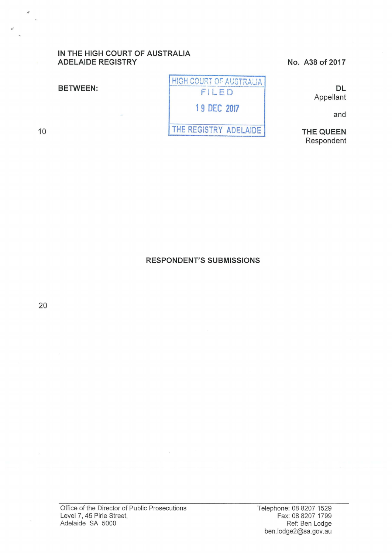# IN THE HIGH COURT OF AUSTRALIA ADELAIDE REGISTRY

### BETWEEN:

10



No. A38 of 2017

DL Appellant

and

THE QUEEN Respondent

RESPONDENT'S SUBMISSIONS

20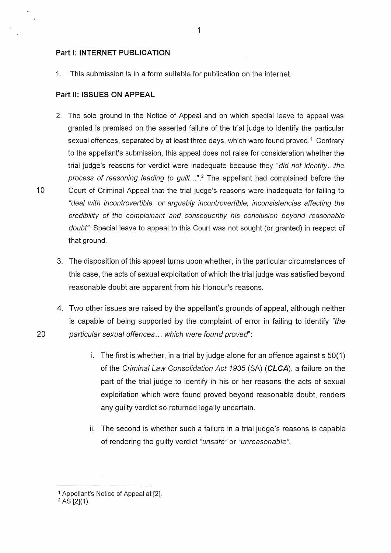#### **Part 1: INTERNET PUBLICATION**

1. This submission is in a form suitable for publication on the internet.

#### **Part 11: ISSUES ON APPEAL**

- 2. The sole ground in the Notice of Appeal and on which special leave to appeal was granted is premised on the asserted failure of the trial judge to identify the particular sexual offences, separated by at least three days, which were found proved.<sup>1</sup> Contrary to the appellant's submission, this appeal does not raise for consideration whether the trial judge's reasons for verdict were inadequate because they "did not identify...the process of reasoning leading to guilt...".<sup>2</sup> The appellant had complained before the 10 Court of Criminal Appeal that the trial judge's reasons were inadequate for failing to "deal with incontrovertible, or arguably incontrovertible, inconsistencies affecting the credibility of the complainant and consequently his conclusion beyond reasonable doubt". Special leave to appeal to this Court was not sought (or granted) in respect of that ground.
	- 3. The disposition of this appeal turns upon whether, in the particular circumstances of this case, the acts of sexual exploitation of which the trial judge was satisfied beyond reasonable doubt are apparent from his Honour's reasons.
- 4. Two other issues are raised by the appellant's grounds of appeal, although neither is capable of being supported by the complaint of error in failing to identify "the 20 particular sexual offences ... which were found proved':
	- i. The first is whether, in a trial by judge alone for an offence against s 50(1) of the Criminal Law Consolidation Act 1935 (SA) **(CLCA),** a failure on the part of the trial judge to identify in his or her reasons the acts of sexual exploitation which were found proved beyond reasonable doubt, renders any guilty verdict so returned legally uncertain.
	- ii. The second is whether such a failure in a trial judge's reasons is capable of rendering the guilty verdict "unsafe" or "unreasonable".

<sup>1</sup>Appellant's Notice of Appeal at [2].

 $2$  AS [2](1).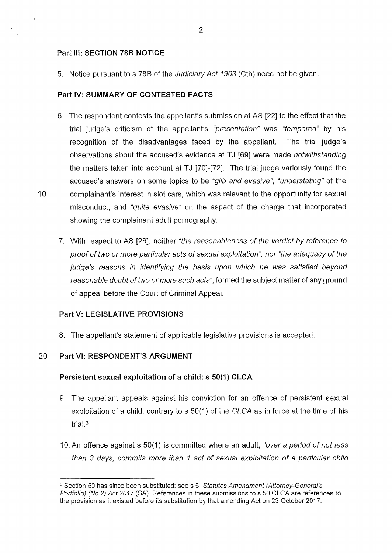## **Part Ill: SECTION 788 NOTICE**

5. Notice pursuant to s 788 of the Judiciary Act 1903 (Cth) need not be given.

### **Part IV: SUMMARY OF CONTESTED FACTS**

- 6. The respondent contests the appellant's submission at AS [22] to the effect that the trial judge's criticism of the appellant's "presentation" was "tempered" by his recognition of the disadvantages faced by the appellant. The trial judge's observations about the accused's evidence at TJ [69] were made notwithstanding the matters taken into account at TJ  $[70]-[72]$ . The trial judge variously found the accused's answers on some topics to be "glib and evasive", "understating" of the 10 complainant's interest in slot cars, which was relevant to the opportunity for sexual misconduct, and "quite evasive" on the aspect of the charge that incorporated showing the complainant adult pornography.
	- 7. With respect to AS [26], neither "the reasonableness of the verdict by reference to proof of two or more particular acts of sexual exploitation", nor "the adequacy of the judge's reasons in identifying the basis upon which he was satisfied beyond reasonable doubt of two or more such acts", formed the subject matter of any ground of appeal before the Court of Criminal Appeal.

### **Part V: LEGISLATIVE PROVISIONS**

8. The appellant's statement of applicable legislative provisions is accepted.

## 20 **Part** VI: **RESPONDENT'S ARGUMENT**

### **Persistent sexual exploitation of a child: s 50(1) CLCA**

- 9. The appellant appeals against his conviction for an offence of persistent sexual exploitation of a child, contrary to s 50(1) of the CLCA as in force at the time of his trial. $3$
- 10. An offence against s 50(1) is committed where an adult, "over a period of not less than 3 days, commits more than 1 act of sexual exploitation of a particular child

<sup>&</sup>lt;sup>3</sup> Section 50 has since been substituted: see s 6, Statutes Amendment (Attorney-General's Portfolio) (No 2) Act 2017 (SA). References in these submissions to s 50 CLCA are references to the provision as it existed before its substitution by that amending Act on 23 October 2017.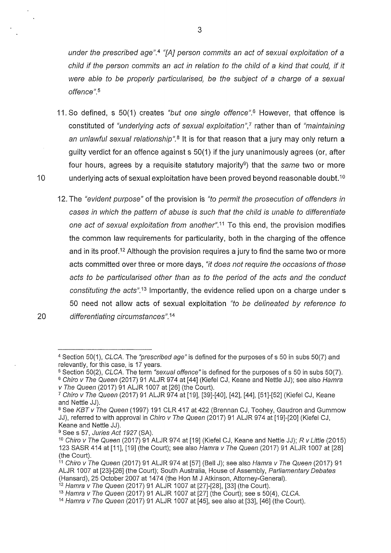under the prescribed age".<sup>4</sup> "[A] person commits an act of sexual exploitation of a child if the person commits an act in relation to the child of a kind that could, if it were able to be properly particularised, be the subject of a charge of a sexual offence". <sup>5</sup>

- 11. So defined, s 50(1) creates "but one single offence". *6* However, that offence is constituted of "underlying acts of sexual exploitation", $\frac{1}{2}$  rather than of "maintaining" an unlawful sexual relationship".<sup>8</sup> It is for that reason that a jury may only return a guilty verdict for an offence against s 50(1) if the jury unanimously agrees (or, after four hours, agrees by a requisite statutory majority<sup>9</sup>) that the same two or more 10 underlying acts of sexual exploitation have been proved beyond reasonable doubt.<sup>10</sup>
- 12. The "evident purpose" of the provision is "to permit the prosecution of offenders in cases in which the pattern of abuse is such that the child is unable to differentiate one act of sexual exploitation from another".<sup>11</sup> To this end, the provision modifies the common law requirements for particularity, both in the charging of the offence and in its proof.<sup>12</sup> Although the provision requires a jury to find the same two or more acts committed over three or more days, "it does not require the occasions of those acts to be particularised other than as to the period of the acts and the conduct constituting the acts".<sup>13</sup> Importantly, the evidence relied upon on a charge under s 50 need not allow acts of sexual exploitation "to be delineated by reference to 20 differentiating circumstances".<sup>14</sup>

<sup>4</sup>Section 50(1), CLCA. The "prescribed age" is defined for the purposes of s 50 in subs 50(7) and relevantly, for this case, is 17 years.

<sup>&</sup>lt;sup>5</sup> Section 50(2), CLCA. The term "sexual offence" is defined for the purposes of s 50 in subs 50(7).

<sup>&</sup>lt;sup>6</sup> Chiro v The Queen (2017) 91 ALJR 974 at [44] (Kiefel CJ, Keane and Nettle JJ); see also Hamra v The Queen (2017) 91 ALJR 1007 at [26] (the Court).

<sup>7</sup>Chiro v The Queen (2017) 91 ALJR 974 at [19], [39]-[40], [42], [44], [51]-[52] (Kiefel CJ, Keane and Nettle JJ).

<sup>&</sup>lt;sup>8</sup> See KBT v The Queen (1997) 191 CLR 417 at 422 (Brennan CJ, Toohey, Gaudron and Gummow JJ), referred to with approval in Chiro v The Queen (2017) 91 ALJR 974 at [19]-[20] (Kiefel CJ, Keane and Nettle JJ).

<sup>9</sup> Sees 57, Juries Act 1927 (SA).

oce 3 51, sancs Adt 1927 (671).<br><sup>10</sup> Chiro v The Queen (2017) 91 ALJR 974 at [19] (Kiefel CJ, Keane and Nettle JJ); R v Little (2015) 123 SASR 414 at [11], [19] (the Court); see also Hamra v The Queen (2017) 91 ALJR 1007 at [28] (the Court).

<sup>&</sup>lt;sup>11</sup> Chiro v The Queen (2017) 91 ALJR 974 at [57] (Bell J); see also Hamra v The Queen (2017) 91 ALJR 1007 at [23]-[26] (the Court); South Australia, House of Assembly, Parliamentary Debates (Hansard), 25 October 2007 at 1474 (the Hon M J Atkinson, Attorney-General).

<sup>&</sup>lt;sup>12</sup> Hamra v The Queen (2017) 91 ALJR 1007 at [27]-[28], [33] (the Court).

<sup>&</sup>lt;sup>13</sup> Hamra v The Queen (2017) 91 ALJR 1007 at  $[27]$  (the Court); see s 50(4), CLCA.

<sup>14</sup> Hamra v The Queen (2017) 91 ALJR 1007 at [45], see also at [33], [46] (the Court).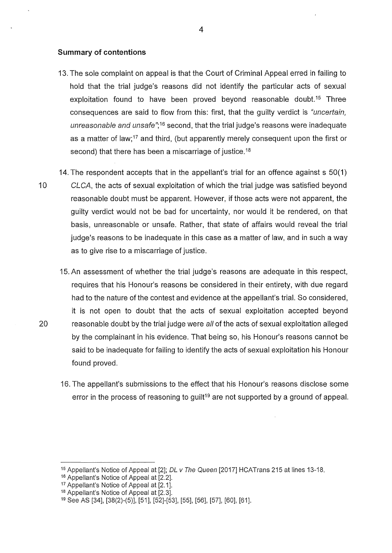#### **Summary of contentions**

- 13. The sole complaint on appeal is that the Court of Criminal Appeal erred in failing to hold that the trial judge's reasons did not identify the particular acts of sexual exploitation found to have been proved beyond reasonable doubt.<sup>15</sup> Three consequences are said to flow from this: first, that the guilty verdict is "uncertain, unreasonable and unsafe";<sup>16</sup> second, that the trial judge's reasons were inadequate as a matter of law;17 and third, (but apparently merely consequent upon the first or second) that there has been a miscarriage of justice.<sup>18</sup>
- 14. The respondent accepts that in the appellant's trial for an offence against s 50(1) 10 CLCA, the acts of sexual exploitation of which the trial judge was satisfied beyond reasonable doubt must be apparent. However, if those acts were not apparent, the guilty verdict would not be bad for uncertainty, nor would it be rendered, on that basis, unreasonable or unsafe. Rather, that state of affairs would reveal the trial judge's reasons to be inadequate in this case as a matter of law, and in such a way as to give rise to a miscarriage of justice.
- 15. An assessment of whether the trial judge's reasons are adequate in this respect, requires that his Honour's reasons be considered in their entirety, with due regard had to the nature of the contest and evidence at the appellant's trial. So considered, it is not open to doubt that the acts of sexual exploitation accepted beyond 20 reasonable doubt by the trial judge were all of the acts of sexual exploitation alleged by the complainant in his evidence. That being so, his Honour's reasons cannot be said to be inadequate for failing to identify the acts of sexual exploitation his Honour found proved.
	- 16. The appellant's submissions to the effect that his Honour's reasons disclose some error in the process of reasoning to guilt<sup>19</sup> are not supported by a ground of appeal.

<sup>&</sup>lt;sup>15</sup> Appellant's Notice of Appeal at [2]; DL v The Queen [2017] HCATrans 215 at lines 13-18.

<sup>16</sup> Appellant's Notice of Appeal at [2.2].

<sup>17</sup> Appellant's Notice of Appeal at [2.1].

<sup>18</sup> Appellant's Notice of Appeal at [2.3].

<sup>19</sup>See AS [34], [38(2)-(5)], [51], [52]-[53], [55], [56], [57], [60], [61].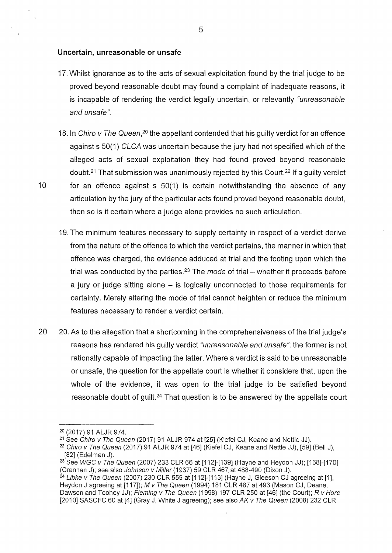#### **Uncertain, unreasonable or unsafe**

- 17. Whilst ignorance as to the acts of sexual exploitation found by the trial judge to be proved beyond reasonable doubt may found a complaint of inadequate reasons, it is incapable of rendering the verdict legally uncertain, or relevantly "unreasonable" and unsafe".
- 18. In Chiro v The Queen,<sup>20</sup> the appellant contended that his quilty verdict for an offence against s 50(1) CLCA was uncertain because the jury had not specified which of the alleged acts of sexual exploitation they had found proved beyond reasonable doubt.21 That submission was unanimously rejected by this Court.22 If a guilty verdict 10 for an offence against s 50(1) is certain notwithstanding the absence of any articulation by the jury of the particular acts found proved beyond reasonable doubt, then so is it certain where a judge alone provides no such articulation.
	- 19. The minimum features necessary to supply certainty in respect of a verdict derive from the nature of the offence to which the verdict pertains, the manner in which that offence was charged, the evidence adduced at trial and the footing upon which the trial was conducted by the parties.<sup>23</sup> The mode of trial – whether it proceeds before a jury or judge sitting alone – is logically unconnected to those requirements for certainty. Merely altering the mode of trial cannot heighten or reduce the minimum features necessary to render a verdict certain.
- 20 20. As to the allegation that a shortcoming in the comprehensiveness of the trial judge's reasons has rendered his guilty verdict "*unreasonable and unsafe*"; the former is not rationally capable of impacting the latter. Where a verdict is said to be unreasonable or unsafe, the question for the appellate court is whether it considers that, upon the whole of the evidence, it was open to the trial judge to be satisfied beyond reasonable doubt of guilt.<sup>24</sup> That question is to be answered by the appellate court

 $20$  (2017) 91 ALJR 974.<br> $21$  See Chiro v The Queen (2017) 91 ALJR 974 at [25] (Kiefel CJ, Keane and Nettle JJ).

 $22$  Chiro v The Queen (2017) 91 ALJR 974 at [46] (Kiefel CJ, Keane and Nettle JJ), [59] (Bell J), [82] (Edelman J).

 $23$  See WGC v The Queen (2007) 233 CLR 66 at [112]-[139] (Hayne and Heydon JJ); [168]-[170] (Crennan J); see also Johnson v Miller (1937) 59 CLR 467 at 488-490 (Dixon J).

 $24$  Libke v The Queen (2007) 230 CLR 559 at [112]-[113] (Hayne J, Gleeson CJ agreeing at [1], Heydon J agreeing at [117]); M v The Queen (1994) 181 CLR 487 at 493 (Mason CJ, Deane, Dawson and Toohey JJ); Fleming v The Queen (1998) 197 CLR 250 at [46] (the Court); R v Hore [2010] SASCFC 60 at [4] (Gray J, White J agreeing); see also  $AK$  v The Queen (2008) 232 CLR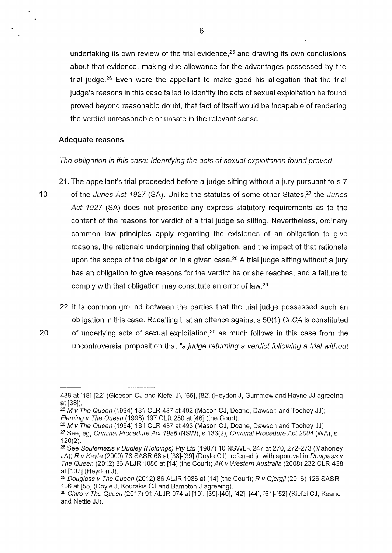undertaking its own review of the trial evidence,  $25$  and drawing its own conclusions about that evidence, making due allowance for the advantages possessed by the trial iudge. <sup>26</sup> Even were the appellant to make good his allegation that the trial judge's reasons in this case failed to identify the acts of sexual exploitation he found proved beyond reasonable doubt, that fact of itself would be incapable of rendering the verdict unreasonable or unsafe in the relevant sense.

## **Adequate reasons**

# The obligation in this case: Identifying the acts of sexual exploitation found proved

- 21. The appellant's trial proceeded before a judge sitting without a jury pursuant to s 7 10 of the Juries Act 1927 (SA). Unlike the statutes of some other States,<sup>27</sup> the Juries Act 1927 (SA) does not prescribe any express statutory requirements as to the content of the reasons for verdict of a trial judge so sitting. Nevertheless, ordinary common law principles apply regarding the existence of an obligation to give reasons, the rationale underpinning that obligation, and the impact of that rationale upon the scope of the obligation in a given case.<sup>28</sup> A trial judge sitting without a jury has an obligation to give reasons for the verdict he or she reaches, and a failure to comply with that obligation may constitute an error of law.<sup>29</sup>
	- 22. lt is common ground between the parties that the trial judge possessed such an obligation in this case. Recalling that an offence against s 50(1) CLCA is constituted
- 20 of underlying acts of sexual exploitation,  $30$  as much follows in this case from the uncontroversial proposition that "a judge returning a verdict following a trial without

<sup>26</sup>M v The Queen (1994) 181 CLR 487 at 493 (Mason CJ, Deane, Dawson and Toohey JJ). <sup>27</sup> See, eg, Criminal Procedure Act 1986 (NSW), s 133(2); Criminal Procedure Act 2004 (WA), s 120(2).

<sup>438</sup> at [18]-[22] (Gieeson CJ and Kiefel J), [65], [82] (Heydon J, Gummow and Hayne JJ agreeing at [38]).

<sup>25</sup>M *v* The Queen (1994) 181 CLR 487 at 492 (Mason CJ, Deane, Dawson and Toohey JJ); Fleming v The Queen (1998) 197 CLR 250 at [46] (the Court).

<sup>&</sup>lt;sup>28</sup> See Soulemezis v Dudley (Holdings) Pty Ltd (1987) 10 NSWLR 247 at 270, 272-273 (Mahoney JA); R v Keyte (2000) 78 SASR 68 at [38]-[39] (Doyle CJ), referred to with approval in Douglass v The Queen (2012) 86 ALJR 1086 at [14] (the Court); AK v Western Australia (2008) 232 CLR 438 at [107] (Heydon J).

<sup>&</sup>lt;sup>29</sup> Douglass v The Queen (2012) 86 ALJR 1086 at [14] (the Court); R v Gjergji (2016) 126 SASR 106 at [55] (Doyle J, Kourakis CJ and Bampton J agreeing).

<sup>3</sup>° Chiro v The Queen (2017) 91 ALJR 974 at [19], [39]-[40], [42], [44], [51]-[52] (Kiefel CJ, Keane and Nettle JJ).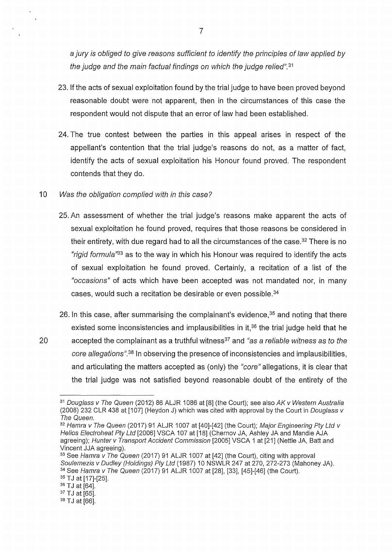a jury is obliged to give reasons sufficient to identify the principles of law applied by the judge and the main factual findings on which the judge relied". <sup>31</sup>

- 23. If the acts of sexual exploitation found by the trial judge to have been proved beyond reasonable doubt were not apparent, then in the circumstances of this case the respondent would not dispute that an error of law had been established.
- 24. The true contest between the parties in this appeal arises in respect of the appellant's contention that the trial judge's reasons do not, as a matter of fact, identify the acts of sexual exploitation his Honour found proved. The respondent contends that they do.

## 10 Was the obligation complied with in this case?

- 25. An assessment of whether the trial judge's reasons make apparent the acts of sexual exploitation he found proved, requires that those reasons be considered in their entirety, with due regard had to all the circumstances of the case.  $32$  There is no "rigid formula"*33* as to the way in which his Honour was required to identify the acts of sexual exploitation he found proved. Certainly, a recitation of a list of the "occasions" of acts which have been accepted was not mandated nor, in many cases, would such a recitation be desirable or even possible.<sup>34</sup>
- 26. In this case, after summarising the complainant's evidence,  $35$  and noting that there existed some inconsistencies and implausibilities in it,<sup>36</sup> the trial judge held that he 20 accepted the complainant as a truthful witness<sup>37</sup> and "as a reliable witness as to the core allegations". *<sup>38</sup>* 1n observing the presence of inconsistencies and implausibilities, and articulating the matters accepted as (only) the "core" allegations, it is clear that the trial judge was not satisfied beyond reasonable doubt of the entirety of the

 $31$  Douglass v The Queen (2012) 86 ALJR 1086 at [8] (the Court); see also AK v Western Australia (2008) 232 CLR 438 at [107] (Heydon J) which was cited with approval by the Court in *Douglass v* The Queen.

<sup>&</sup>lt;sup>32</sup> Hamra v The Queen (2017) 91 ALJR 1007 at [40]-[42] (the Court); Major Engineering Pty Ltd v Helios Electroheat Pty Ltd [2006] VSCA 107 at [18] (Chernov JA, Ashley JA and Mandie AJA agreeing); Hunter v Transport Accident Commission [2005] VSCA 1 at [21] (Nettle JA, Batt and Vincent JJA agreeing).

<sup>&</sup>lt;sup>33</sup> See Hamra v The Queen (2017) 91 ALJR 1007 at [42] (the Court), citing with approval Soulemezis v Dudley (Holdings) Pty Ltd (1987) 10 NSWLR 247 at 270, 272-273 (Mahoney JA). 34 See Hamra v The Queen (2017) 91 ALJR 1007 at [28], [33], [45]-[46] (the Court). 35 TJ at [17]-[25].

<sup>36</sup> TJ at [64].

<sup>37</sup> TJ at [65].

<sup>38</sup> TJ at [66].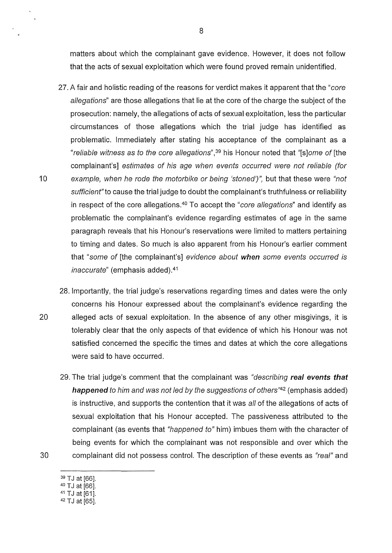matters about which the complainant gave evidence. However, it does not follow that the acts of sexual exploitation which were found proved remain unidentified.

- 27. A fair and holistic reading of the reasons for verdict makes it apparent that the "core allegations" are those allegations that lie at the core of the charge the subject of the prosecution: namely, the allegations of acts of sexual exploitation, less the particular circumstances of those allegations which the trial judge has identified as problematic. Immediately after stating his acceptance of the complainant as a "reliable witness as to the core allegations",<sup>39</sup> his Honour noted that "[s]ome of [the complainant's] estimates of his age when events occurred were not reliable (for 10 example, when he rode the motorbike or being 'stoned')", but that these were "not sufficient" to cause the trial judge to doubt the complainant's truthfulness or reliability in respect of the core allegations.<sup>40</sup> To accept the "*core allegations*" and identify as problematic the complainant's evidence regarding estimates of age in the same paragraph reveals that his Honour's reservations were limited to matters pertaining to timing and dates. So much is also apparent from his Honour's earlier comment that "some of [the complainant's] evidence about **when** some events occurred is inaccurate" (emphasis added).<sup>41</sup>
- 28. Importantly, the trial judge's reservations regarding times and dates were the only concerns his Honour expressed about the complainant's evidence regarding the 20 alleged acts of sexual exploitation. In the absence of any other misgivings, it is tolerably clear that the only aspects of that evidence of which his Honour was not satisfied concerned the specific the times and dates at which the core allegations were said to have occurred.
- 29. The trial judge's comment that the complainant was "describing **real events that happened** to him and was not led by the suggestions of others"*<sup>42</sup>*(emphasis added) is instructive, and supports the contention that it was all of the allegations of acts of sexual exploitation that his Honour accepted. The passiveness attributed to the complainant (as events that "happened to" him) imbues them with the character of being events for which the complainant was not responsible and over which the 30 complainant did not possess control. The description of these events as "real" and
	- 39 TJ at [66].
	- 40 TJ at [66].
	- 41 TJ at [61].
	- 42 TJ at [65].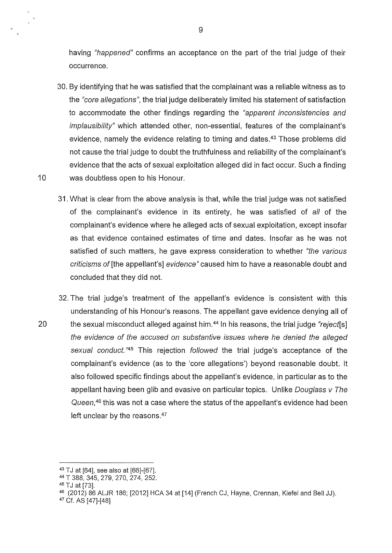having "happened" confirms an acceptance on the part of the trial judge of their occurrence.

- 30. By identifying that he was satisfied that the complainant was a reliable witness as to the "core allegations", the trial judge deliberately limited his statement of satisfaction to accommodate the other findings regarding the "apparent inconsistencies and implausibility" which attended other, non-essential, features of the complainant's evidence, namely the evidence relating to timing and dates.<sup>43</sup> Those problems did not cause the trial judge to doubt the truthfulness and reliability of the complainant's evidence that the acts of sexual exploitation alleged did in fact occur. Such a finding 10 was doubtless open to his Honour.
	- 31. What is clear from the above analysis is that, while the trial judge was not satisfied of the complainant's evidence in its entirety, he was satisfied of all of the complainant's evidence where he alleged acts of sexual exploitation, except insofar as that evidence contained estimates of time and dates. Insofar as he was not satisfied of such matters, he gave express consideration to whether "the various criticisms of[the appellant's] evidence" caused him to have a reasonable doubt and concluded that they did not.
- 32. The trial judge's treatment of the appellant's evidence is consistent with this understanding of his Honour's reasons. The appellant gave evidence denying all of 20 the sexual misconduct alleged against him.<sup>44</sup> In his reasons, the trial judge "reject [s] the evidence of the accused on substantive issues where he denied the alleged sexual conduct.<sup>"45</sup> This rejection followed the trial judge's acceptance of the complainant's evidence (as to the 'core allegations') beyond reasonable doubt. lt also followed specific findings about the appellant's evidence, in particular as to the appellant having been glib and evasive on particular topics. Unlike Douglass v The Queen,<sup>46</sup> this was not a case where the status of the appellant's evidence had been left unclear by the reasons.<sup>47</sup>

<sup>43</sup> TJ at [64], see also at [66]-[67].

<sup>44</sup>T 388, 345, 279, 270, 274, 252.

<sup>45</sup> TJ at [73].

<sup>&</sup>lt;sup>46</sup> (2012) 86 ALJR 186; [2012] HCA 34 at [14] (French CJ, Hayne, Crennan, Kiefel and Bell JJ).

<sup>47</sup> Cf. AS [47]-[48]